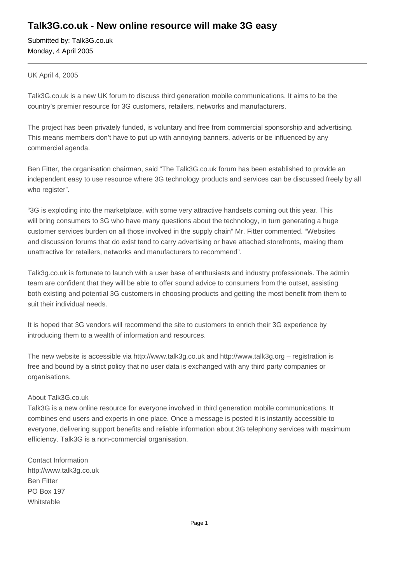## **Talk3G.co.uk - New online resource will make 3G easy**

Submitted by: Talk3G.co.uk Monday, 4 April 2005

UK April 4, 2005

Talk3G.co.uk is a new UK forum to discuss third generation mobile communications. It aims to be the country's premier resource for 3G customers, retailers, networks and manufacturers.

The project has been privately funded, is voluntary and free from commercial sponsorship and advertising. This means members don't have to put up with annoying banners, adverts or be influenced by any commercial agenda.

Ben Fitter, the organisation chairman, said "The Talk3G.co.uk forum has been established to provide an independent easy to use resource where 3G technology products and services can be discussed freely by all who register".

"3G is exploding into the marketplace, with some very attractive handsets coming out this year. This will bring consumers to 3G who have many questions about the technology, in turn generating a huge customer services burden on all those involved in the supply chain" Mr. Fitter commented. "Websites and discussion forums that do exist tend to carry advertising or have attached storefronts, making them unattractive for retailers, networks and manufacturers to recommend".

Talk3g.co.uk is fortunate to launch with a user base of enthusiasts and industry professionals. The admin team are confident that they will be able to offer sound advice to consumers from the outset, assisting both existing and potential 3G customers in choosing products and getting the most benefit from them to suit their individual needs.

It is hoped that 3G vendors will recommend the site to customers to enrich their 3G experience by introducing them to a wealth of information and resources.

The new website is accessible via http://www.talk3g.co.uk and http://www.talk3g.org – registration is free and bound by a strict policy that no user data is exchanged with any third party companies or organisations.

## About Talk3G.co.uk

Talk3G is a new online resource for everyone involved in third generation mobile communications. It combines end users and experts in one place. Once a message is posted it is instantly accessible to everyone, delivering support benefits and reliable information about 3G telephony services with maximum efficiency. Talk3G is a non-commercial organisation.

Contact Information http://www.talk3g.co.uk Ben Fitter PO Box 197 Whitstable